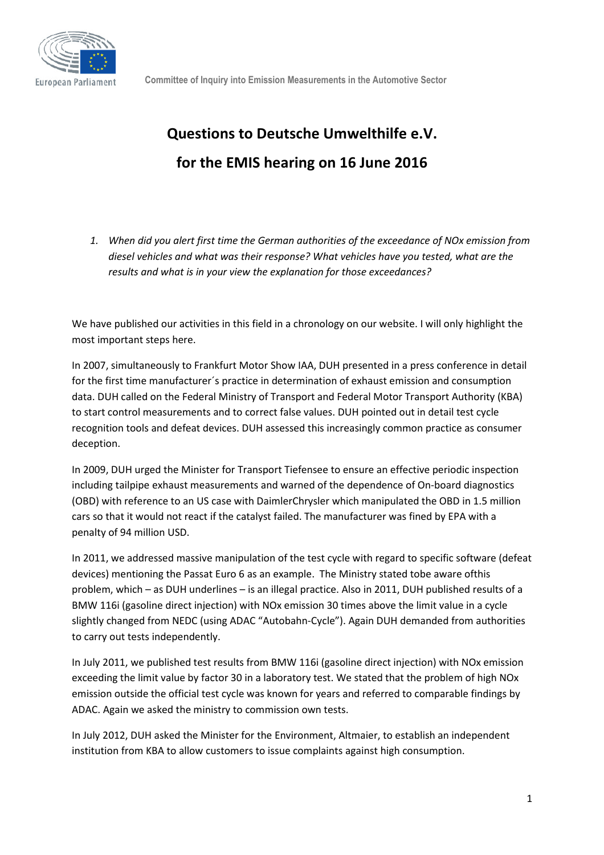

## **Questions to Deutsche Umwelthilfe e.V. for the EMIS hearing on 16 June 2016**

*1. When did you alert first time the German authorities of the exceedance of NOx emission from diesel vehicles and what was their response? What vehicles have you tested, what are the results and what is in your view the explanation for those exceedances?* 

We have published our activities in this field in a chronology on our website. I will only highlight the most important steps here.

In 2007, simultaneously to Frankfurt Motor Show IAA, DUH presented in a press conference in detail for the first time manufacturer´s practice in determination of exhaust emission and consumption data. DUH called on the Federal Ministry of Transport and Federal Motor Transport Authority (KBA) to start control measurements and to correct false values. DUH pointed out in detail test cycle recognition tools and defeat devices. DUH assessed this increasingly common practice as consumer deception.

In 2009, DUH urged the Minister for Transport Tiefensee to ensure an effective periodic inspection including tailpipe exhaust measurements and warned of the dependence of On-board diagnostics (OBD) with reference to an US case with DaimlerChrysler which manipulated the OBD in 1.5 million cars so that it would not react if the catalyst failed. The manufacturer was fined by EPA with a penalty of 94 million USD.

In 2011, we addressed massive manipulation of the test cycle with regard to specific software (defeat devices) mentioning the Passat Euro 6 as an example. The Ministry stated tobe aware ofthis problem, which – as DUH underlines – is an illegal practice. Also in 2011, DUH published results of a BMW 116i (gasoline direct injection) with NOx emission 30 times above the limit value in a cycle slightly changed from NEDC (using ADAC "Autobahn-Cycle"). Again DUH demanded from authorities to carry out tests independently.

In July 2011, we published test results from BMW 116i (gasoline direct injection) with NOx emission exceeding the limit value by factor 30 in a laboratory test. We stated that the problem of high NOx emission outside the official test cycle was known for years and referred to comparable findings by ADAC. Again we asked the ministry to commission own tests.

In July 2012, DUH asked the Minister for the Environment, Altmaier, to establish an independent institution from KBA to allow customers to issue complaints against high consumption.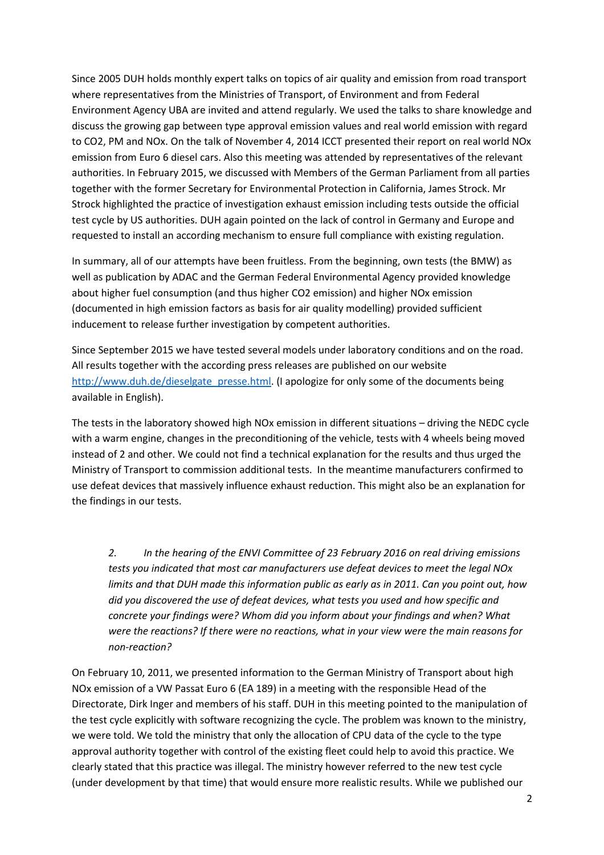Since 2005 DUH holds monthly expert talks on topics of air quality and emission from road transport where representatives from the Ministries of Transport, of Environment and from Federal Environment Agency UBA are invited and attend regularly. We used the talks to share knowledge and discuss the growing gap between type approval emission values and real world emission with regard to CO2, PM and NOx. On the talk of November 4, 2014 ICCT presented their report on real world NOx emission from Euro 6 diesel cars. Also this meeting was attended by representatives of the relevant authorities. In February 2015, we discussed with Members of the German Parliament from all parties together with the former Secretary for Environmental Protection in California, James Strock. Mr Strock highlighted the practice of investigation exhaust emission including tests outside the official test cycle by US authorities. DUH again pointed on the lack of control in Germany and Europe and requested to install an according mechanism to ensure full compliance with existing regulation.

In summary, all of our attempts have been fruitless. From the beginning, own tests (the BMW) as well as publication by ADAC and the German Federal Environmental Agency provided knowledge about higher fuel consumption (and thus higher CO2 emission) and higher NOx emission (documented in high emission factors as basis for air quality modelling) provided sufficient inducement to release further investigation by competent authorities.

Since September 2015 we have tested several models under laboratory conditions and on the road. All results together with the according press releases are published on our website http://www.duh.de/dieselgate\_presse.html. (I apologize for only some of the documents being available in English).

The tests in the laboratory showed high NOx emission in different situations – driving the NEDC cycle with a warm engine, changes in the preconditioning of the vehicle, tests with 4 wheels being moved instead of 2 and other. We could not find a technical explanation for the results and thus urged the Ministry of Transport to commission additional tests. In the meantime manufacturers confirmed to use defeat devices that massively influence exhaust reduction. This might also be an explanation for the findings in our tests.

*2. In the hearing of the ENVI Committee of 23 February 2016 on real driving emissions tests you indicated that most car manufacturers use defeat devices to meet the legal NOx limits and that DUH made this information public as early as in 2011. Can you point out, how did you discovered the use of defeat devices, what tests you used and how specific and concrete your findings were? Whom did you inform about your findings and when? What were the reactions? If there were no reactions, what in your view were the main reasons for non-reaction?* 

On February 10, 2011, we presented information to the German Ministry of Transport about high NOx emission of a VW Passat Euro 6 (EA 189) in a meeting with the responsible Head of the Directorate, Dirk Inger and members of his staff. DUH in this meeting pointed to the manipulation of the test cycle explicitly with software recognizing the cycle. The problem was known to the ministry, we were told. We told the ministry that only the allocation of CPU data of the cycle to the type approval authority together with control of the existing fleet could help to avoid this practice. We clearly stated that this practice was illegal. The ministry however referred to the new test cycle (under development by that time) that would ensure more realistic results. While we published our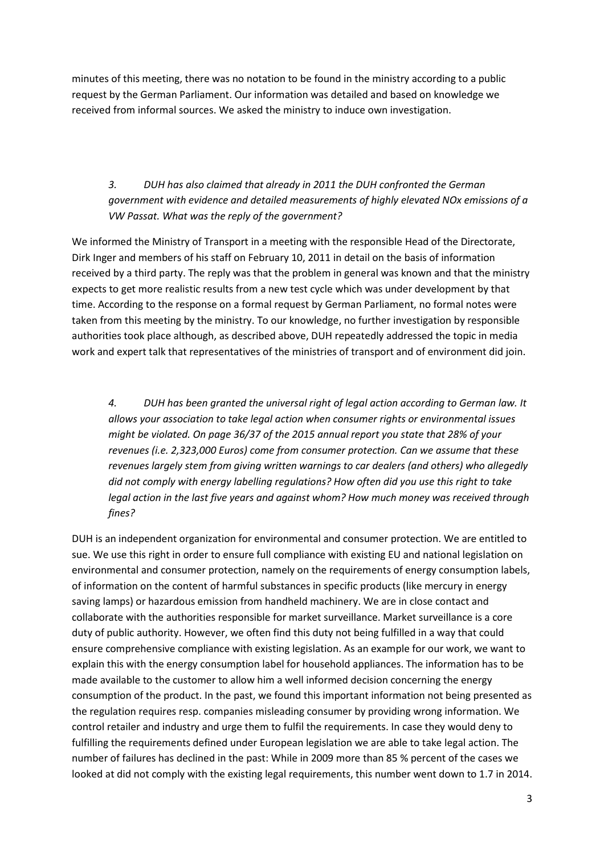minutes of this meeting, there was no notation to be found in the ministry according to a public request by the German Parliament. Our information was detailed and based on knowledge we received from informal sources. We asked the ministry to induce own investigation.

## *3. DUH has also claimed that already in 2011 the DUH confronted the German government with evidence and detailed measurements of highly elevated NOx emissions of a VW Passat. What was the reply of the government?*

We informed the Ministry of Transport in a meeting with the responsible Head of the Directorate, Dirk Inger and members of his staff on February 10, 2011 in detail on the basis of information received by a third party. The reply was that the problem in general was known and that the ministry expects to get more realistic results from a new test cycle which was under development by that time. According to the response on a formal request by German Parliament, no formal notes were taken from this meeting by the ministry. To our knowledge, no further investigation by responsible authorities took place although, as described above, DUH repeatedly addressed the topic in media work and expert talk that representatives of the ministries of transport and of environment did join.

*4. DUH has been granted the universal right of legal action according to German law. It allows your association to take legal action when consumer rights or environmental issues might be violated. On page 36/37 of the 2015 annual report you state that 28% of your revenues (i.e. 2,323,000 Euros) come from consumer protection. Can we assume that these revenues largely stem from giving written warnings to car dealers (and others) who allegedly did not comply with energy labelling regulations? How often did you use this right to take legal action in the last five years and against whom? How much money was received through fines?* 

DUH is an independent organization for environmental and consumer protection. We are entitled to sue. We use this right in order to ensure full compliance with existing EU and national legislation on environmental and consumer protection, namely on the requirements of energy consumption labels, of information on the content of harmful substances in specific products (like mercury in energy saving lamps) or hazardous emission from handheld machinery. We are in close contact and collaborate with the authorities responsible for market surveillance. Market surveillance is a core duty of public authority. However, we often find this duty not being fulfilled in a way that could ensure comprehensive compliance with existing legislation. As an example for our work, we want to explain this with the energy consumption label for household appliances. The information has to be made available to the customer to allow him a well informed decision concerning the energy consumption of the product. In the past, we found this important information not being presented as the regulation requires resp. companies misleading consumer by providing wrong information. We control retailer and industry and urge them to fulfil the requirements. In case they would deny to fulfilling the requirements defined under European legislation we are able to take legal action. The number of failures has declined in the past: While in 2009 more than 85 % percent of the cases we looked at did not comply with the existing legal requirements, this number went down to 1.7 in 2014.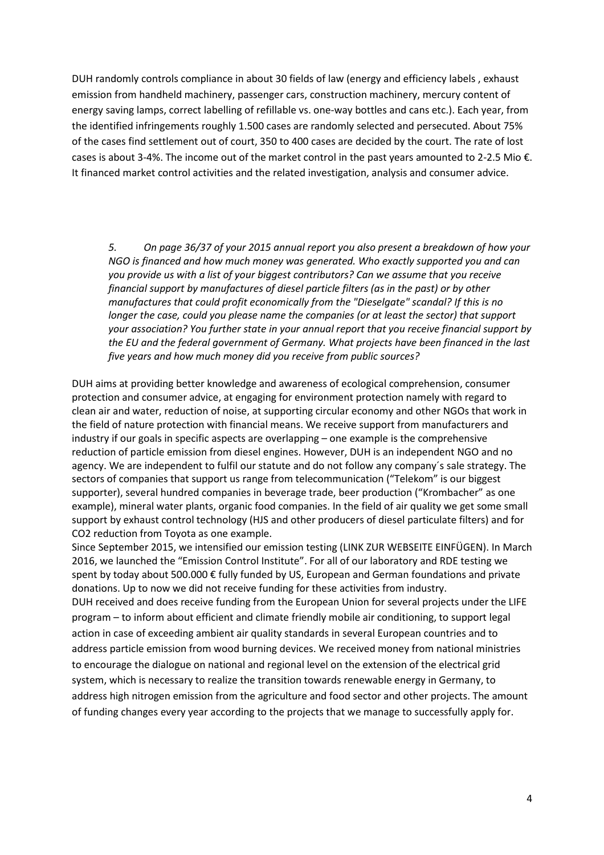DUH randomly controls compliance in about 30 fields of law (energy and efficiency labels , exhaust emission from handheld machinery, passenger cars, construction machinery, mercury content of energy saving lamps, correct labelling of refillable vs. one-way bottles and cans etc.). Each year, from the identified infringements roughly 1.500 cases are randomly selected and persecuted. About 75% of the cases find settlement out of court, 350 to 400 cases are decided by the court. The rate of lost cases is about 3-4%. The income out of the market control in the past years amounted to 2-2.5 Mio €. It financed market control activities and the related investigation, analysis and consumer advice.

*5. On page 36/37 of your 2015 annual report you also present a breakdown of how your NGO is financed and how much money was generated. Who exactly supported you and can you provide us with a list of your biggest contributors? Can we assume that you receive financial support by manufactures of diesel particle filters (as in the past) or by other manufactures that could profit economically from the "Dieselgate" scandal? If this is no longer the case, could you please name the companies (or at least the sector) that support your association? You further state in your annual report that you receive financial support by the EU and the federal government of Germany. What projects have been financed in the last five years and how much money did you receive from public sources?* 

DUH aims at providing better knowledge and awareness of ecological comprehension, consumer protection and consumer advice, at engaging for environment protection namely with regard to clean air and water, reduction of noise, at supporting circular economy and other NGOs that work in the field of nature protection with financial means. We receive support from manufacturers and industry if our goals in specific aspects are overlapping – one example is the comprehensive reduction of particle emission from diesel engines. However, DUH is an independent NGO and no agency. We are independent to fulfil our statute and do not follow any company´s sale strategy. The sectors of companies that support us range from telecommunication ("Telekom" is our biggest supporter), several hundred companies in beverage trade, beer production ("Krombacher" as one example), mineral water plants, organic food companies. In the field of air quality we get some small support by exhaust control technology (HJS and other producers of diesel particulate filters) and for CO2 reduction from Toyota as one example.

Since September 2015, we intensified our emission testing (LINK ZUR WEBSEITE EINFÜGEN). In March 2016, we launched the "Emission Control Institute". For all of our laboratory and RDE testing we spent by today about 500.000 € fully funded by US, European and German foundations and private donations. Up to now we did not receive funding for these activities from industry. DUH received and does receive funding from the European Union for several projects under the LIFE program – to inform about efficient and climate friendly mobile air conditioning, to support legal action in case of exceeding ambient air quality standards in several European countries and to address particle emission from wood burning devices. We received money from national ministries to encourage the dialogue on national and regional level on the extension of the electrical grid system, which is necessary to realize the transition towards renewable energy in Germany, to address high nitrogen emission from the agriculture and food sector and other projects. The amount of funding changes every year according to the projects that we manage to successfully apply for.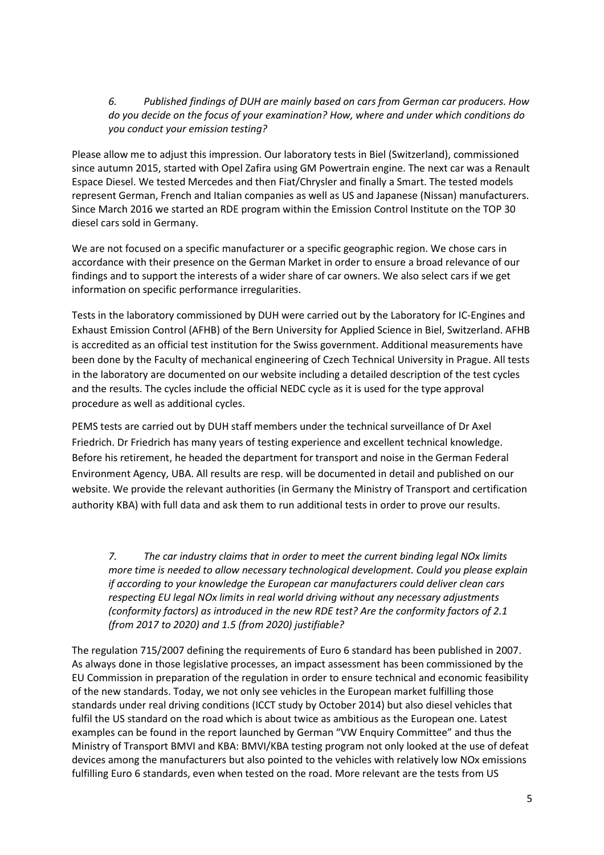## *6. Published findings of DUH are mainly based on cars from German car producers. How do you decide on the focus of your examination? How, where and under which conditions do you conduct your emission testing?*

Please allow me to adjust this impression. Our laboratory tests in Biel (Switzerland), commissioned since autumn 2015, started with Opel Zafira using GM Powertrain engine. The next car was a Renault Espace Diesel. We tested Mercedes and then Fiat/Chrysler and finally a Smart. The tested models represent German, French and Italian companies as well as US and Japanese (Nissan) manufacturers. Since March 2016 we started an RDE program within the Emission Control Institute on the TOP 30 diesel cars sold in Germany.

We are not focused on a specific manufacturer or a specific geographic region. We chose cars in accordance with their presence on the German Market in order to ensure a broad relevance of our findings and to support the interests of a wider share of car owners. We also select cars if we get information on specific performance irregularities.

Tests in the laboratory commissioned by DUH were carried out by the Laboratory for IC-Engines and Exhaust Emission Control (AFHB) of the Bern University for Applied Science in Biel, Switzerland. AFHB is accredited as an official test institution for the Swiss government. Additional measurements have been done by the Faculty of mechanical engineering of Czech Technical University in Prague. All tests in the laboratory are documented on our website including a detailed description of the test cycles and the results. The cycles include the official NEDC cycle as it is used for the type approval procedure as well as additional cycles.

PEMS tests are carried out by DUH staff members under the technical surveillance of Dr Axel Friedrich. Dr Friedrich has many years of testing experience and excellent technical knowledge. Before his retirement, he headed the department for transport and noise in the German Federal Environment Agency, UBA. All results are resp. will be documented in detail and published on our website. We provide the relevant authorities (in Germany the Ministry of Transport and certification authority KBA) with full data and ask them to run additional tests in order to prove our results.

*7. The car industry claims that in order to meet the current binding legal NOx limits more time is needed to allow necessary technological development. Could you please explain if according to your knowledge the European car manufacturers could deliver clean cars respecting EU legal NOx limits in real world driving without any necessary adjustments (conformity factors) as introduced in the new RDE test? Are the conformity factors of 2.1 (from 2017 to 2020) and 1.5 (from 2020) justifiable?* 

The regulation 715/2007 defining the requirements of Euro 6 standard has been published in 2007. As always done in those legislative processes, an impact assessment has been commissioned by the EU Commission in preparation of the regulation in order to ensure technical and economic feasibility of the new standards. Today, we not only see vehicles in the European market fulfilling those standards under real driving conditions (ICCT study by October 2014) but also diesel vehicles that fulfil the US standard on the road which is about twice as ambitious as the European one. Latest examples can be found in the report launched by German "VW Enquiry Committee" and thus the Ministry of Transport BMVI and KBA: BMVI/KBA testing program not only looked at the use of defeat devices among the manufacturers but also pointed to the vehicles with relatively low NOx emissions fulfilling Euro 6 standards, even when tested on the road. More relevant are the tests from US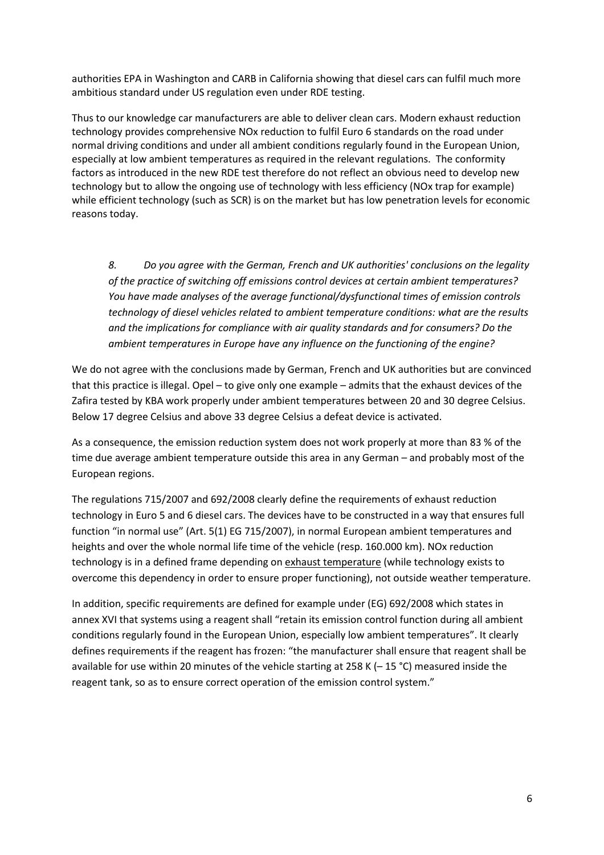authorities EPA in Washington and CARB in California showing that diesel cars can fulfil much more ambitious standard under US regulation even under RDE testing.

Thus to our knowledge car manufacturers are able to deliver clean cars. Modern exhaust reduction technology provides comprehensive NOx reduction to fulfil Euro 6 standards on the road under normal driving conditions and under all ambient conditions regularly found in the European Union, especially at low ambient temperatures as required in the relevant regulations. The conformity factors as introduced in the new RDE test therefore do not reflect an obvious need to develop new technology but to allow the ongoing use of technology with less efficiency (NOx trap for example) while efficient technology (such as SCR) is on the market but has low penetration levels for economic reasons today.

*8. Do you agree with the German, French and UK authorities' conclusions on the legality of the practice of switching off emissions control devices at certain ambient temperatures? You have made analyses of the average functional/dysfunctional times of emission controls technology of diesel vehicles related to ambient temperature conditions: what are the results and the implications for compliance with air quality standards and for consumers? Do the ambient temperatures in Europe have any influence on the functioning of the engine?* 

We do not agree with the conclusions made by German, French and UK authorities but are convinced that this practice is illegal. Opel – to give only one example – admits that the exhaust devices of the Zafira tested by KBA work properly under ambient temperatures between 20 and 30 degree Celsius. Below 17 degree Celsius and above 33 degree Celsius a defeat device is activated.

As a consequence, the emission reduction system does not work properly at more than 83 % of the time due average ambient temperature outside this area in any German – and probably most of the European regions.

The regulations 715/2007 and 692/2008 clearly define the requirements of exhaust reduction technology in Euro 5 and 6 diesel cars. The devices have to be constructed in a way that ensures full function "in normal use" (Art. 5(1) EG 715/2007), in normal European ambient temperatures and heights and over the whole normal life time of the vehicle (resp. 160.000 km). NOx reduction technology is in a defined frame depending on exhaust temperature (while technology exists to overcome this dependency in order to ensure proper functioning), not outside weather temperature.

In addition, specific requirements are defined for example under (EG) 692/2008 which states in annex XVI that systems using a reagent shall "retain its emission control function during all ambient conditions regularly found in the European Union, especially low ambient temperatures". It clearly defines requirements if the reagent has frozen: "the manufacturer shall ensure that reagent shall be available for use within 20 minutes of the vehicle starting at 258 K (– 15 °C) measured inside the reagent tank, so as to ensure correct operation of the emission control system."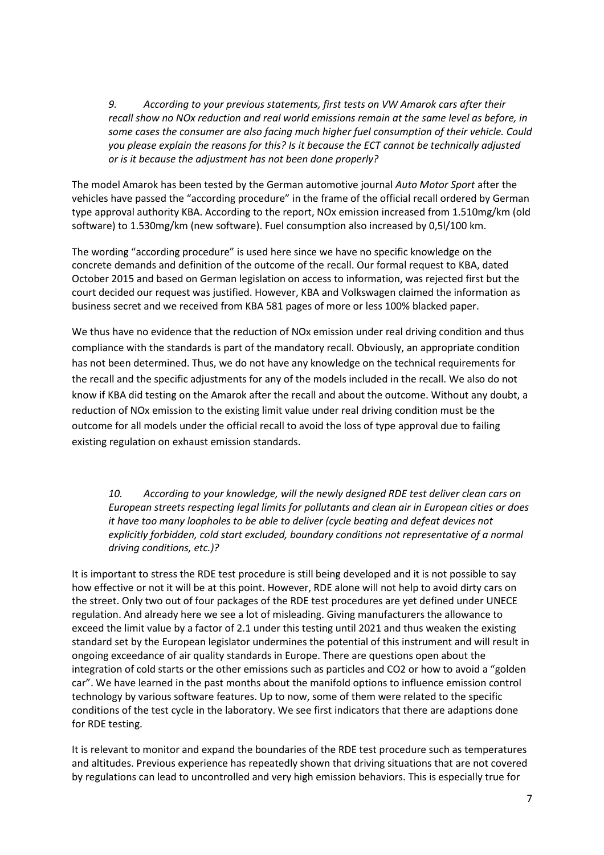*9. According to your previous statements, first tests on VW Amarok cars after their recall show no NOx reduction and real world emissions remain at the same level as before, in some cases the consumer are also facing much higher fuel consumption of their vehicle. Could you please explain the reasons for this? Is it because the ECT cannot be technically adjusted or is it because the adjustment has not been done properly?* 

The model Amarok has been tested by the German automotive journal *Auto Motor Sport* after the vehicles have passed the "according procedure" in the frame of the official recall ordered by German type approval authority KBA. According to the report, NOx emission increased from 1.510mg/km (old software) to 1.530mg/km (new software). Fuel consumption also increased by 0,5l/100 km.

The wording "according procedure" is used here since we have no specific knowledge on the concrete demands and definition of the outcome of the recall. Our formal request to KBA, dated October 2015 and based on German legislation on access to information, was rejected first but the court decided our request was justified. However, KBA and Volkswagen claimed the information as business secret and we received from KBA 581 pages of more or less 100% blacked paper.

We thus have no evidence that the reduction of NOx emission under real driving condition and thus compliance with the standards is part of the mandatory recall. Obviously, an appropriate condition has not been determined. Thus, we do not have any knowledge on the technical requirements for the recall and the specific adjustments for any of the models included in the recall. We also do not know if KBA did testing on the Amarok after the recall and about the outcome. Without any doubt, a reduction of NOx emission to the existing limit value under real driving condition must be the outcome for all models under the official recall to avoid the loss of type approval due to failing existing regulation on exhaust emission standards.

*10. According to your knowledge, will the newly designed RDE test deliver clean cars on European streets respecting legal limits for pollutants and clean air in European cities or does it have too many loopholes to be able to deliver (cycle beating and defeat devices not explicitly forbidden, cold start excluded, boundary conditions not representative of a normal driving conditions, etc.)?* 

It is important to stress the RDE test procedure is still being developed and it is not possible to say how effective or not it will be at this point. However, RDE alone will not help to avoid dirty cars on the street. Only two out of four packages of the RDE test procedures are yet defined under UNECE regulation. And already here we see a lot of misleading. Giving manufacturers the allowance to exceed the limit value by a factor of 2.1 under this testing until 2021 and thus weaken the existing standard set by the European legislator undermines the potential of this instrument and will result in ongoing exceedance of air quality standards in Europe. There are questions open about the integration of cold starts or the other emissions such as particles and CO2 or how to avoid a "golden car". We have learned in the past months about the manifold options to influence emission control technology by various software features. Up to now, some of them were related to the specific conditions of the test cycle in the laboratory. We see first indicators that there are adaptions done for RDE testing.

It is relevant to monitor and expand the boundaries of the RDE test procedure such as temperatures and altitudes. Previous experience has repeatedly shown that driving situations that are not covered by regulations can lead to uncontrolled and very high emission behaviors. This is especially true for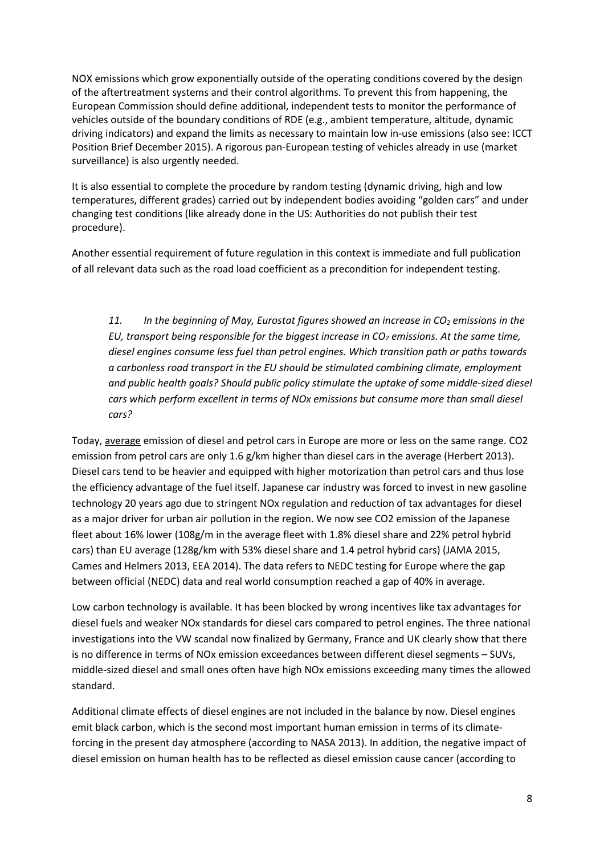NOX emissions which grow exponentially outside of the operating conditions covered by the design of the aftertreatment systems and their control algorithms. To prevent this from happening, the European Commission should define additional, independent tests to monitor the performance of vehicles outside of the boundary conditions of RDE (e.g., ambient temperature, altitude, dynamic driving indicators) and expand the limits as necessary to maintain low in-use emissions (also see: ICCT Position Brief December 2015). A rigorous pan-European testing of vehicles already in use (market surveillance) is also urgently needed.

It is also essential to complete the procedure by random testing (dynamic driving, high and low temperatures, different grades) carried out by independent bodies avoiding "golden cars" and under changing test conditions (like already done in the US: Authorities do not publish their test procedure).

Another essential requirement of future regulation in this context is immediate and full publication of all relevant data such as the road load coefficient as a precondition for independent testing.

*11. In the beginning of May, Eurostat figures showed an increase in CO2 emissions in the EU, transport being responsible for the biggest increase in CO2 emissions. At the same time, diesel engines consume less fuel than petrol engines. Which transition path or paths towards a carbonless road transport in the EU should be stimulated combining climate, employment and public health goals? Should public policy stimulate the uptake of some middle-sized diesel cars which perform excellent in terms of NOx emissions but consume more than small diesel cars?* 

Today, average emission of diesel and petrol cars in Europe are more or less on the same range. CO2 emission from petrol cars are only 1.6 g/km higher than diesel cars in the average (Herbert 2013). Diesel cars tend to be heavier and equipped with higher motorization than petrol cars and thus lose the efficiency advantage of the fuel itself. Japanese car industry was forced to invest in new gasoline technology 20 years ago due to stringent NOx regulation and reduction of tax advantages for diesel as a major driver for urban air pollution in the region. We now see CO2 emission of the Japanese fleet about 16% lower (108g/m in the average fleet with 1.8% diesel share and 22% petrol hybrid cars) than EU average (128g/km with 53% diesel share and 1.4 petrol hybrid cars) (JAMA 2015, Cames and Helmers 2013, EEA 2014). The data refers to NEDC testing for Europe where the gap between official (NEDC) data and real world consumption reached a gap of 40% in average.

Low carbon technology is available. It has been blocked by wrong incentives like tax advantages for diesel fuels and weaker NOx standards for diesel cars compared to petrol engines. The three national investigations into the VW scandal now finalized by Germany, France and UK clearly show that there is no difference in terms of NOx emission exceedances between different diesel segments – SUVs, middle-sized diesel and small ones often have high NOx emissions exceeding many times the allowed standard.

Additional climate effects of diesel engines are not included in the balance by now. Diesel engines emit black carbon, which is the second most important human emission in terms of its climateforcing in the present day atmosphere (according to NASA 2013). In addition, the negative impact of diesel emission on human health has to be reflected as diesel emission cause cancer (according to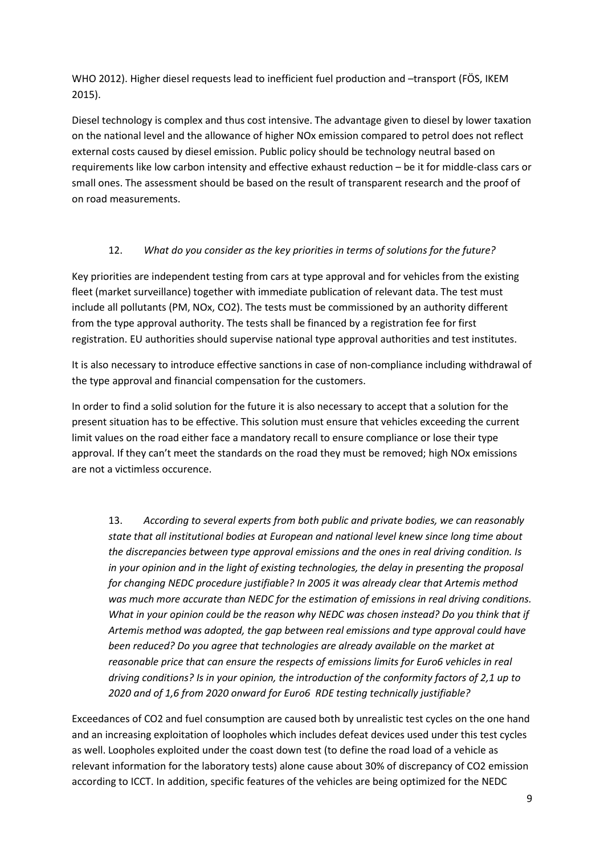WHO 2012). Higher diesel requests lead to inefficient fuel production and –transport (FÖS, IKEM 2015).

Diesel technology is complex and thus cost intensive. The advantage given to diesel by lower taxation on the national level and the allowance of higher NOx emission compared to petrol does not reflect external costs caused by diesel emission. Public policy should be technology neutral based on requirements like low carbon intensity and effective exhaust reduction – be it for middle-class cars or small ones. The assessment should be based on the result of transparent research and the proof of on road measurements.

## 12. *What do you consider as the key priorities in terms of solutions for the future?*

Key priorities are independent testing from cars at type approval and for vehicles from the existing fleet (market surveillance) together with immediate publication of relevant data. The test must include all pollutants (PM, NOx, CO2). The tests must be commissioned by an authority different from the type approval authority. The tests shall be financed by a registration fee for first registration. EU authorities should supervise national type approval authorities and test institutes.

It is also necessary to introduce effective sanctions in case of non-compliance including withdrawal of the type approval and financial compensation for the customers.

In order to find a solid solution for the future it is also necessary to accept that a solution for the present situation has to be effective. This solution must ensure that vehicles exceeding the current limit values on the road either face a mandatory recall to ensure compliance or lose their type approval. If they can't meet the standards on the road they must be removed; high NOx emissions are not a victimless occurence.

13. *According to several experts from both public and private bodies, we can reasonably state that all institutional bodies at European and national level knew since long time about the discrepancies between type approval emissions and the ones in real driving condition. Is in your opinion and in the light of existing technologies, the delay in presenting the proposal for changing NEDC procedure justifiable? In 2005 it was already clear that Artemis method was much more accurate than NEDC for the estimation of emissions in real driving conditions. What in your opinion could be the reason why NEDC was chosen instead? Do you think that if Artemis method was adopted, the gap between real emissions and type approval could have been reduced? Do you agree that technologies are already available on the market at reasonable price that can ensure the respects of emissions limits for Euro6 vehicles in real driving conditions? Is in your opinion, the introduction of the conformity factors of 2,1 up to 2020 and of 1,6 from 2020 onward for Euro6 RDE testing technically justifiable?*

Exceedances of CO2 and fuel consumption are caused both by unrealistic test cycles on the one hand and an increasing exploitation of loopholes which includes defeat devices used under this test cycles as well. Loopholes exploited under the coast down test (to define the road load of a vehicle as relevant information for the laboratory tests) alone cause about 30% of discrepancy of CO2 emission according to ICCT. In addition, specific features of the vehicles are being optimized for the NEDC